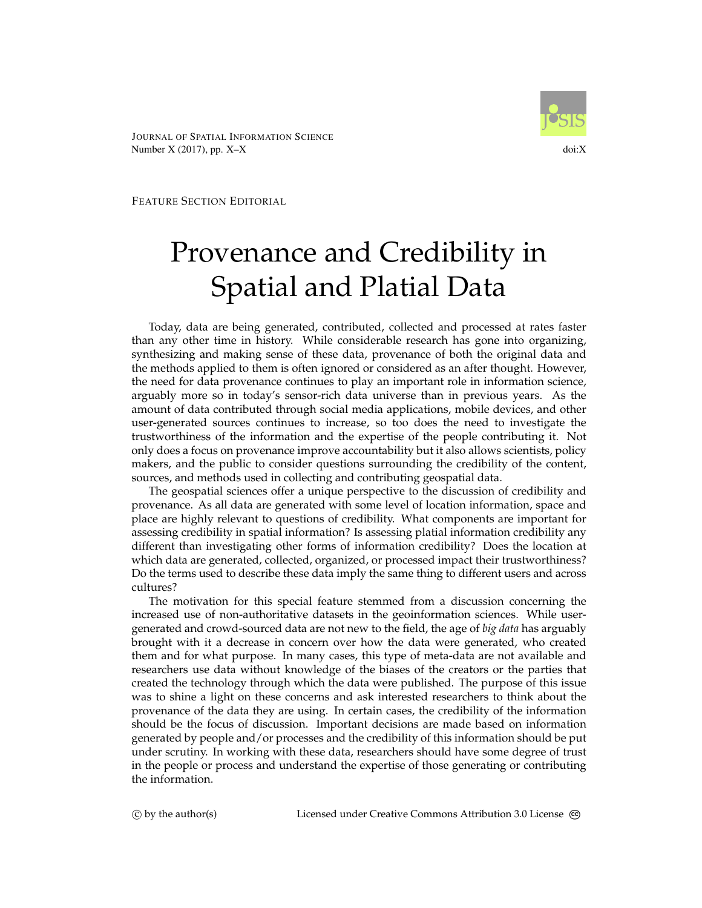JOURNAL OF SPATIAL INFORMATION SCIENCE Number  $X(2017)$ , pp.  $X-X$  doi: $X$ 



FEATURE SECTION EDITORIAL

## Provenance and Credibility in Spatial and Platial Data

Today, data are being generated, contributed, collected and processed at rates faster than any other time in history. While considerable research has gone into organizing, synthesizing and making sense of these data, provenance of both the original data and the methods applied to them is often ignored or considered as an after thought. However, the need for data provenance continues to play an important role in information science, arguably more so in today's sensor-rich data universe than in previous years. As the amount of data contributed through social media applications, mobile devices, and other user-generated sources continues to increase, so too does the need to investigate the trustworthiness of the information and the expertise of the people contributing it. Not only does a focus on provenance improve accountability but it also allows scientists, policy makers, and the public to consider questions surrounding the credibility of the content, sources, and methods used in collecting and contributing geospatial data.

The geospatial sciences offer a unique perspective to the discussion of credibility and provenance. As all data are generated with some level of location information, space and place are highly relevant to questions of credibility. What components are important for assessing credibility in spatial information? Is assessing platial information credibility any different than investigating other forms of information credibility? Does the location at which data are generated, collected, organized, or processed impact their trustworthiness? Do the terms used to describe these data imply the same thing to different users and across cultures?

The motivation for this special feature stemmed from a discussion concerning the increased use of non-authoritative datasets in the geoinformation sciences. While usergenerated and crowd-sourced data are not new to the field, the age of *big data* has arguably brought with it a decrease in concern over how the data were generated, who created them and for what purpose. In many cases, this type of meta-data are not available and researchers use data without knowledge of the biases of the creators or the parties that created the technology through which the data were published. The purpose of this issue was to shine a light on these concerns and ask interested researchers to think about the provenance of the data they are using. In certain cases, the credibility of the information should be the focus of discussion. Important decisions are made based on information generated by people and/or processes and the credibility of this information should be put under scrutiny. In working with these data, researchers should have some degree of trust in the people or process and understand the expertise of those generating or contributing the information.

(c) by the author(s) Licensed under Creative Commons Attribution 3.0 License  $\textcircled{\tiny{}}$